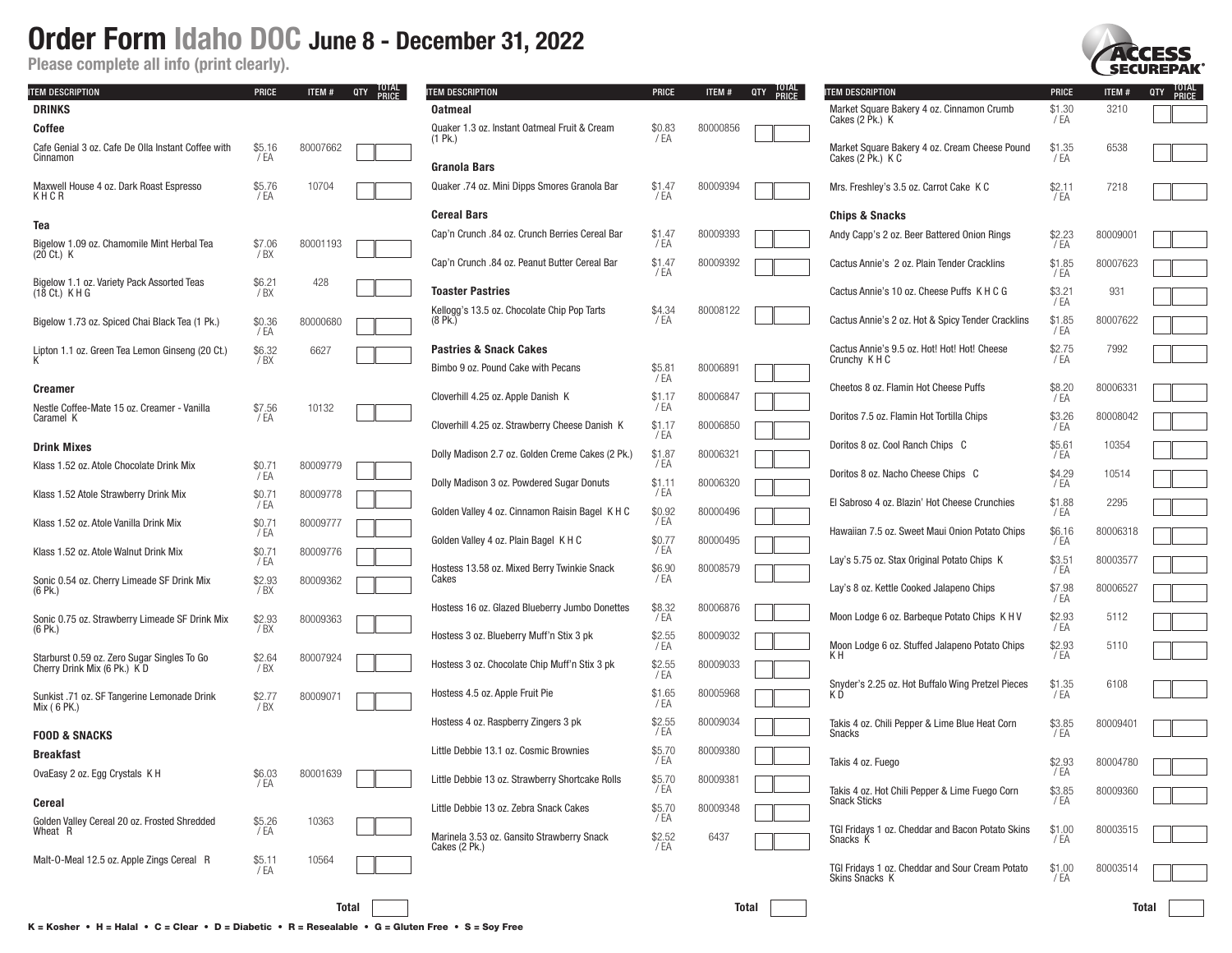Please complete all info (print clearly).

| <b>ITEM DESCRIPTION</b>                                             | <b>PRICE</b>   | ITEM#    | TOTAL<br>PRICE<br>QTY | ITEM DESCRIPTION                                 | <b>PRICE</b>   | ITEM#    | TOTAL<br>PRICE<br>QTY | <b>ITEM DESCRIPTION</b>                                               | <b>PRICE</b>   | ITEM#    | TOTAL<br>PRICE<br>QTY |
|---------------------------------------------------------------------|----------------|----------|-----------------------|--------------------------------------------------|----------------|----------|-----------------------|-----------------------------------------------------------------------|----------------|----------|-----------------------|
| <b>DRINKS</b>                                                       |                |          |                       | <b>Oatmeal</b>                                   |                |          |                       | Market Square Bakery 4 oz. Cinnamon Crumb                             | \$1.30         | 3210     |                       |
| Coffee                                                              |                |          |                       | Quaker 1.3 oz. Instant Oatmeal Fruit & Cream     | \$0.83         | 80000856 |                       | Cakes (2 Pk.) K                                                       | / EA           |          |                       |
| Cafe Genial 3 oz. Cafe De Olla Instant Coffee with<br>Cinnamon      | \$5.16<br>/EA  | 80007662 |                       | $(1$ Pk.)<br>Granola Bars                        | / EA           |          |                       | Market Square Bakery 4 oz. Cream Cheese Pound<br>Cakes (2 Pk.) K C    | \$1.35<br>/ EA | 6538     |                       |
| Maxwell House 4 oz. Dark Roast Espresso<br>KHCR                     | \$5.76<br>/EA  | 10704    |                       | Quaker .74 oz. Mini Dipps Smores Granola Bar     | \$1.47<br>/ EA | 80009394 |                       | Mrs. Freshley's 3.5 oz. Carrot Cake K C                               | \$2.11<br>/ EA | 7218     |                       |
|                                                                     |                |          |                       | <b>Cereal Bars</b>                               |                |          |                       | <b>Chips &amp; Snacks</b>                                             |                |          |                       |
| Tea                                                                 |                |          |                       | Cap'n Crunch .84 oz. Crunch Berries Cereal Bar   | \$1.47         | 80009393 |                       | Andy Capp's 2 oz. Beer Battered Onion Rings                           | \$2.23         | 80009001 |                       |
| Bigelow 1.09 oz. Chamomile Mint Herbal Tea<br>$(20 \text{ Ct})$ K   | \$7.06<br>/ BX | 80001193 |                       |                                                  | / EA           |          |                       |                                                                       | '/ EA          |          |                       |
|                                                                     |                |          |                       | Cap'n Crunch .84 oz. Peanut Butter Cereal Bar    | \$1.47<br>/ EA | 80009392 |                       | Cactus Annie's 2 oz. Plain Tender Cracklins                           | \$1.85<br>/ EA | 80007623 |                       |
| Bigelow 1.1 oz. Variety Pack Assorted Teas<br>$(18 \text{ Ct})$ KHG | \$6.21<br>/BX  | 428      |                       | <b>Toaster Pastries</b>                          |                |          |                       | Cactus Annie's 10 oz. Cheese Puffs K H C G                            | \$3.21         | 931      |                       |
|                                                                     |                |          |                       | Kellogg's 13.5 oz. Chocolate Chip Pop Tarts      | \$4.34         | 80008122 |                       |                                                                       | /EA            |          |                       |
| Bigelow 1.73 oz. Spiced Chai Black Tea (1 Pk.)                      | \$0.36<br>/EA  | 80000680 |                       | $(8$ Pk.)                                        | / EA           |          |                       | Cactus Annie's 2 oz. Hot & Spicy Tender Cracklins                     | \$1.85<br>/ EA | 80007622 |                       |
| Lipton 1.1 oz. Green Tea Lemon Ginseng (20 Ct.)                     | \$6.32         | 6627     |                       | <b>Pastries &amp; Snack Cakes</b>                |                |          |                       |                                                                       | \$2.75         | 7992     |                       |
|                                                                     | /BX            |          |                       | Bimbo 9 oz. Pound Cake with Pecans               | \$5.81         | 80006891 |                       | Cactus Annie's 9.5 oz. Hot! Hot! Hot! Cheese<br>Crunchy K H C         | / EA           |          |                       |
|                                                                     |                |          |                       |                                                  | / EA           |          |                       | Cheetos 8 oz. Flamin Hot Cheese Puffs                                 | \$8.20         | 80006331 |                       |
| Creamer                                                             |                |          |                       | Cloverhill 4.25 oz. Apple Danish K               | \$1.17<br>/ EA | 80006847 |                       |                                                                       | / EA           |          |                       |
| Nestle Coffee-Mate 15 oz. Creamer - Vanilla<br>Caramel K            | \$7.56<br>/EA  | 10132    |                       |                                                  | \$1.17         |          |                       | Doritos 7.5 oz. Flamin Hot Tortilla Chips                             | \$3.26         | 80008042 |                       |
|                                                                     |                |          |                       | Cloverhill 4.25 oz. Strawberry Cheese Danish K   | / EA           | 80006850 |                       |                                                                       | / EA           |          |                       |
| <b>Drink Mixes</b>                                                  |                |          |                       | Dolly Madison 2.7 oz. Golden Creme Cakes (2 Pk.) | \$1.87         | 80006321 |                       | Doritos 8 oz. Cool Ranch Chips C                                      | \$5.61<br>/ EA | 10354    |                       |
| Klass 1.52 oz. Atole Chocolate Drink Mix                            | \$0.71<br>/ EA | 80009779 |                       |                                                  | / EA           |          |                       | Doritos 8 oz. Nacho Cheese Chips C                                    | \$4.29         | 10514    |                       |
| Klass 1.52 Atole Strawberry Drink Mix                               | \$0.71         | 80009778 |                       | Dolly Madison 3 oz. Powdered Sugar Donuts        | \$1.11<br>/ EA | 80006320 |                       |                                                                       | / EA           |          |                       |
|                                                                     | / EA           |          |                       | Golden Valley 4 oz. Cinnamon Raisin Bagel K H C  | \$0.92         | 80000496 |                       | El Sabroso 4 oz. Blazin' Hot Cheese Crunchies                         | \$1.88<br>/ EA | 2295     |                       |
| Klass 1.52 oz. Atole Vanilla Drink Mix                              | \$0.71<br>/ EA | 80009777 |                       |                                                  | / EA           |          |                       | Hawaiian 7.5 oz. Sweet Maui Onion Potato Chips                        | \$6.16         | 80006318 |                       |
| Klass 1.52 oz. Atole Walnut Drink Mix                               | \$0.71         | 80009776 |                       | Golden Valley 4 oz. Plain Bagel K H C            | \$0.77<br>/ EA | 80000495 |                       |                                                                       | / EA           |          |                       |
|                                                                     | / EA           |          |                       | Hostess 13.58 oz. Mixed Berry Twinkie Snack      | \$6.90         | 80008579 |                       | Lay's 5.75 oz. Stax Original Potato Chips K                           | \$3.51<br>/ EA | 80003577 |                       |
| Sonic 0.54 oz. Cherry Limeade SF Drink Mix                          | \$2.93         | 80009362 |                       | Cakes                                            | / EA           |          |                       |                                                                       | \$7.98         | 80006527 |                       |
| $(6$ Pk.)                                                           | / B X          |          |                       |                                                  |                |          |                       | Lay's 8 oz. Kettle Cooked Jalapeno Chips                              | / EA           |          |                       |
| Sonic 0.75 oz. Strawberry Limeade SF Drink Mix                      | \$2.93         | 80009363 |                       | Hostess 16 oz. Glazed Blueberry Jumbo Donettes   | \$8.32<br>/ EA | 80006876 |                       | Moon Lodge 6 oz. Barbeque Potato Chips K H V                          | \$2.93         | 5112     |                       |
| $(6$ Pk.)                                                           | / BX           |          |                       | Hostess 3 oz. Blueberry Muff'n Stix 3 pk         | \$2.55         | 80009032 |                       |                                                                       | / EA           |          |                       |
| Starburst 0.59 oz. Zero Sugar Singles To Go                         | \$2.64         | 80007924 |                       |                                                  | / EA           |          |                       | Moon Lodge 6 oz. Stuffed Jalapeno Potato Chips<br>K H                 | \$2.93<br>/ EA | 5110     |                       |
| Cherry Drink Mix (6 Pk.) K D                                        | /BX            |          |                       | Hostess 3 oz. Chocolate Chip Muff'n Stix 3 pk    | \$2.55<br>/ EA | 80009033 |                       |                                                                       |                |          |                       |
| Sunkist .71 oz. SF Tangerine Lemonade Drink                         | \$2.77         | 80009071 |                       | Hostess 4.5 oz. Apple Fruit Pie                  | \$1.65         | 80005968 |                       | Snyder's 2.25 oz. Hot Buffalo Wing Pretzel Pieces<br>K D              | $$1.35$<br>/EA | 6108     |                       |
| Mix (6 PK.)                                                         | 7BX            |          |                       |                                                  | / EA           |          |                       |                                                                       |                |          |                       |
| <b>FOOD &amp; SNACKS</b>                                            |                |          |                       | Hostess 4 oz. Raspberry Zingers 3 pk             | \$2.55<br>/ EA | 80009034 |                       | Takis 4 oz. Chili Pepper & Lime Blue Heat Corn<br>Snacks              | \$3.85<br>/ EA | 80009401 |                       |
|                                                                     |                |          |                       | Little Debbie 13.1 oz. Cosmic Brownies           | \$5.70         | 80009380 |                       |                                                                       |                |          |                       |
| <b>Breakfast</b>                                                    |                |          |                       |                                                  | / EA           |          |                       | Takis 4 oz. Fuego                                                     | \$2.93<br>/ EA | 80004780 |                       |
| OvaEasy 2 oz. Egg Crystals K H                                      | \$6.03<br>/EA  | 80001639 |                       | Little Debbie 13 oz. Strawberry Shortcake Rolls  | \$5.70<br>/ EA | 80009381 |                       |                                                                       |                |          |                       |
| Cereal                                                              |                |          |                       | Little Debbie 13 oz. Zebra Snack Cakes           | \$5.70         | 80009348 |                       | Takis 4 oz. Hot Chili Pepper & Lime Fuego Corn<br><b>Snack Sticks</b> | $$3.85$<br>/EA | 80009360 |                       |
| Golden Valley Cereal 20 oz. Frosted Shredded                        | \$5.26         | 10363    |                       |                                                  | / EA           |          |                       |                                                                       |                |          |                       |
| Wheat R                                                             | / EA           |          |                       | Marinela 3.53 oz. Gansito Strawberry Snack       | \$2.52         | 6437     |                       | TGI Fridays 1 oz. Cheddar and Bacon Potato Skins<br>Snacks K          | \$1.00<br>/ EA | 80003515 |                       |
| Malt-O-Meal 12.5 oz. Apple Zings Cereal R                           | \$5.11         | 10564    |                       | Cakes (2 Pk.)                                    | / EA           |          |                       |                                                                       |                |          |                       |
|                                                                     | / EA           |          |                       |                                                  |                |          |                       | TGI Fridays 1 oz. Cheddar and Sour Cream Potato<br>Skins Snacks K     | \$1.00<br>/ EA | 80003514 |                       |
|                                                                     |                |          |                       |                                                  |                |          |                       |                                                                       |                |          |                       |

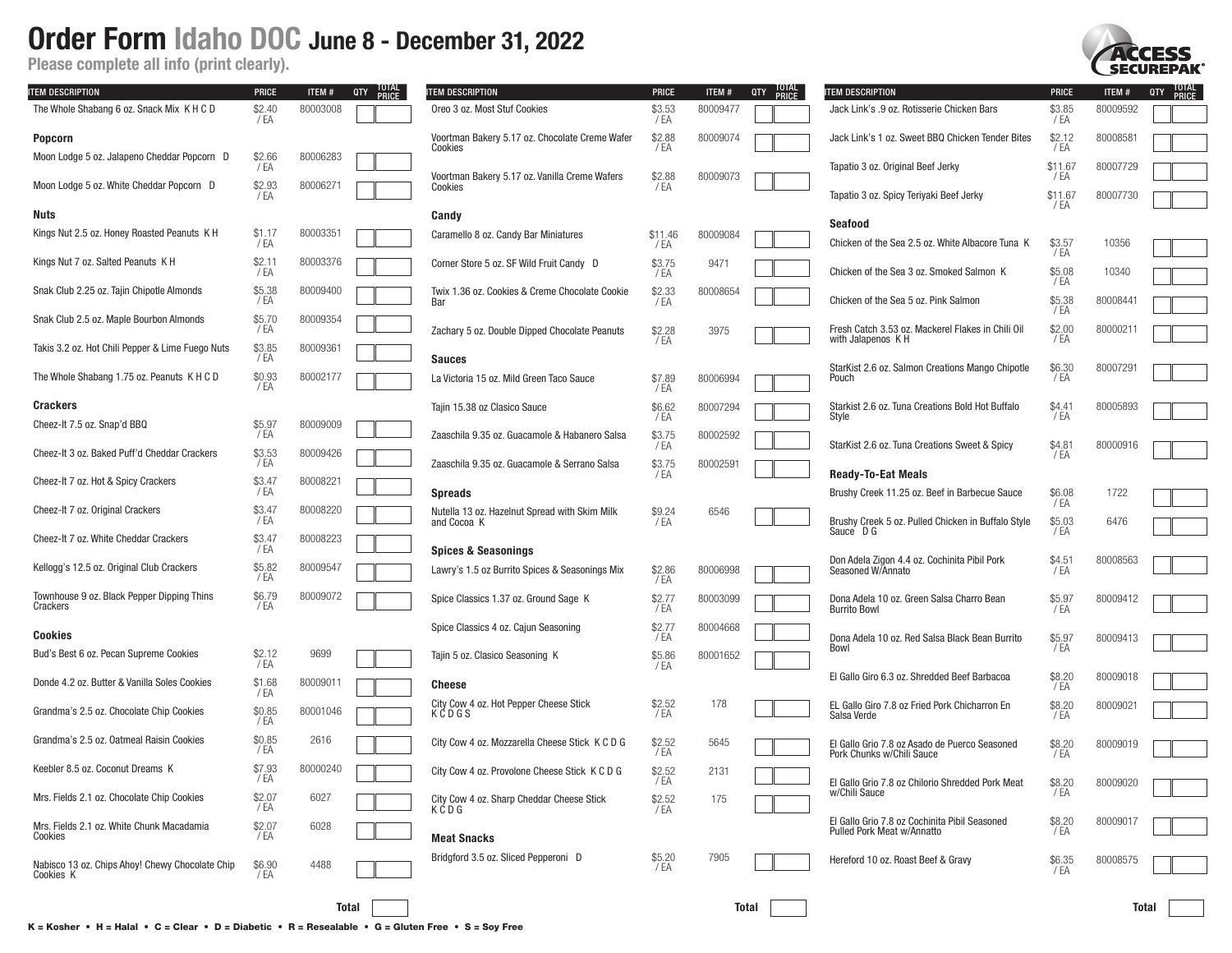Please complete all info (print clearly).

| ITEM DESCRIPTION                                             | <b>PRICE</b>     | ITEM#    | QTY TUTAL | ITEM DESCRIPTION                                             | <b>PRICE</b>     | ITEM#    | TOTAL<br>PRICE<br>QTY | ITEM DESCRIPTION                                                            | <b>PRICE</b>    | ITEM#    | TOTAL<br>PRICE<br>QTY |
|--------------------------------------------------------------|------------------|----------|-----------|--------------------------------------------------------------|------------------|----------|-----------------------|-----------------------------------------------------------------------------|-----------------|----------|-----------------------|
| The Whole Shabang 6 oz. Snack Mix K H C D                    | \$2.40<br>/ EA   | 80003008 |           | Oreo 3 oz. Most Stuf Cookies                                 | \$3.53<br>/ EA   | 80009477 |                       | Jack Link's .9 oz. Rotisserie Chicken Bars                                  | \$3.85<br>/ EA  | 80009592 |                       |
| <b>Popcorn</b>                                               |                  |          |           | Voortman Bakery 5.17 oz. Chocolate Creme Wafer<br>Cookies    | \$2.88<br>/ EA   | 80009074 |                       | Jack Link's 1 oz. Sweet BBQ Chicken Tender Bites                            | \$2.12<br>/ EA  | 80008581 |                       |
| Moon Lodge 5 oz. Jalapeno Cheddar Popcorn D                  | \$2.66<br>/ EA   | 80006283 |           | Voortman Bakery 5.17 oz. Vanilla Creme Wafers                | \$2.88           | 80009073 |                       | Tapatio 3 oz. Original Beef Jerky                                           | \$11.67<br>/ EA | 80007729 |                       |
| Moon Lodge 5 oz. White Cheddar Popcorn D                     | $$2.93$<br>/EA   | 80006271 |           | Cookies                                                      | / EA             |          |                       | Tapatio 3 oz. Spicy Teriyaki Beef Jerky                                     | \$11.67<br>/ EA | 80007730 |                       |
| Nuts                                                         |                  |          |           | Candy                                                        |                  |          |                       | Seafood                                                                     |                 |          |                       |
| Kings Nut 2.5 oz. Honey Roasted Peanuts K H                  | \$1.17<br>/EA    | 80003351 |           | Caramello 8 oz. Candy Bar Miniatures                         | \$11.46<br>/ EA  | 80009084 |                       | Chicken of the Sea 2.5 oz. White Albacore Tuna K                            | \$3.57<br>/ EA  | 10356    |                       |
| Kings Nut 7 oz. Salted Peanuts K H                           | \$2.11<br>/ EA   | 80003376 |           | Corner Store 5 oz. SF Wild Fruit Candy D                     | \$3.75<br>/ EA   | 9471     |                       | Chicken of the Sea 3 oz. Smoked Salmon K                                    | \$5.08          | 10340    |                       |
| Snak Club 2.25 oz. Tajin Chipotle Almonds                    | \$5.38<br>/ EA   | 80009400 |           | Twix 1.36 oz. Cookies & Creme Chocolate Cookie<br>Bar        | $$2.33$<br>$/EA$ | 80008654 |                       | Chicken of the Sea 5 oz. Pink Salmon                                        | / EA<br>\$5.38  | 80008441 |                       |
| Snak Club 2.5 oz. Maple Bourbon Almonds                      | \$5.70<br>/ EA   | 80009354 |           | Zachary 5 oz. Double Dipped Chocolate Peanuts                | \$2.28           | 3975     |                       | Fresh Catch 3.53 oz. Mackerel Flakes in Chili Oil                           | / EA<br>\$2.00  | 80000211 |                       |
| Takis 3.2 oz. Hot Chili Pepper & Lime Fuego Nuts             | \$3.85<br>/EA    | 80009361 |           | <b>Sauces</b>                                                | / EA             |          |                       | with Jalapenos KH                                                           | / EA            |          |                       |
| The Whole Shabang 1.75 oz. Peanuts K H C D                   | $$0.93$<br>/EA   | 80002177 |           | La Victoria 15 oz. Mild Green Taco Sauce                     | \$7.89<br>/ EA   | 80006994 |                       | StarKist 2.6 oz. Salmon Creations Mango Chipotle<br>Pouch                   | \$6.30<br>/ EA  | 80007291 |                       |
| <b>Crackers</b>                                              |                  |          |           | Taiin 15.38 oz Clasico Sauce                                 | \$6.62           | 80007294 |                       | Starkist 2.6 oz. Tuna Creations Bold Hot Buffalo                            | \$4.41          | 80005893 |                       |
| Cheez-It 7.5 oz. Snap'd BBQ                                  | \$5.97<br>/ EA   | 80009009 |           | Zaaschila 9.35 oz. Guacamole & Habanero Salsa                | / EA<br>\$3.75   | 80002592 |                       | Style                                                                       | / EA            |          |                       |
| Cheez-It 3 oz. Baked Puff'd Cheddar Crackers                 | \$3.53<br>/ EA   | 80009426 |           | Zaaschila 9.35 oz. Guacamole & Serrano Salsa                 | / EA<br>\$3.75   | 80002591 |                       | StarKist 2.6 oz. Tuna Creations Sweet & Spicy                               | \$4.81<br>/ EA  | 80000916 |                       |
| Cheez-It 7 oz. Hot & Spicy Crackers                          | \$3.47<br>/EA    | 80008221 |           | <b>Spreads</b>                                               | / EA             |          |                       | <b>Ready-To-Eat Meals</b><br>Brushy Creek 11.25 oz. Beef in Barbecue Sauce  | \$6.08          | 1722     |                       |
| Cheez-It 7 oz. Original Crackers                             | \$3.47<br>/EA    | 80008220 |           | Nutella 13 oz. Hazelnut Spread with Skim Milk<br>and Cocoa K | \$9.24<br>/ EA   | 6546     |                       | Brushy Creek 5 oz. Pulled Chicken in Buffalo Style                          | / EA<br>\$5.03  | 6476     |                       |
| Cheez-It 7 oz. White Cheddar Crackers                        | \$3.47<br>/EA    | 80008223 |           |                                                              |                  |          |                       | Sauce D G                                                                   | / EA            |          |                       |
|                                                              | \$5.82           | 80009547 |           | <b>Spices &amp; Seasonings</b>                               |                  |          |                       | Don Adela Zigon 4.4 oz. Cochinita Pibil Pork                                | \$4.51          | 80008563 |                       |
| Kellogg's 12.5 oz. Original Club Crackers                    | / EA             |          |           | Lawry's 1.5 oz Burrito Spices & Seasonings Mix               | \$2.86<br>/ EA   | 80006998 |                       | Seasoned W/Annato                                                           | /EA             |          |                       |
| Townhouse 9 oz. Black Pepper Dipping Thins<br>Crackers       | \$6.79<br>/EA    | 80009072 |           | Spice Classics 1.37 oz. Ground Sage K                        | \$2.77<br>/ EA   | 80003099 |                       | Dona Adela 10 oz. Green Salsa Charro Bean<br><b>Burrito Bowl</b>            | \$5.97<br>/ EA  | 80009412 |                       |
| <b>Cookies</b>                                               |                  |          |           | Spice Classics 4 oz. Cajun Seasoning                         | \$2.77<br>/ EA   | 80004668 |                       | Dona Adela 10 oz. Red Salsa Black Bean Burrito                              | \$5.97          | 80009413 |                       |
| Bud's Best 6 oz. Pecan Supreme Cookies                       | \$2.12<br>/ EA   | 9699     |           | Tajin 5 oz. Clasico Seasoning K                              | \$5.86<br>/ EA   | 80001652 |                       | Bowl                                                                        | / EA            |          |                       |
| Donde 4.2 oz. Butter & Vanilla Soles Cookies                 | \$1.68<br>/ EA   | 80009011 |           | Cheese                                                       |                  |          |                       | El Gallo Giro 6.3 oz. Shredded Beef Barbacoa                                | \$8.20<br>/ EA  | 80009018 |                       |
| Grandma's 2.5 oz. Chocolate Chip Cookies                     | \$0.85<br>/ EA   | 80001046 |           | City Cow 4 oz. Hot Pepper Cheese Stick<br>KCDGS              | \$2.52<br>/ EA   | 178      |                       | EL Gallo Giro 7.8 oz Fried Pork Chicharron En<br>Salsa Verde                | \$8.20<br>/ EA  | 80009021 |                       |
| Grandma's 2.5 oz. Oatmeal Raisin Cookies                     | \$0.85<br>/EA    | 2616     |           | City Cow 4 oz. Mozzarella Cheese Stick K C D G               | \$2.52<br>/ EA   | 5645     |                       | El Gallo Grio 7.8 oz Asado de Puerco Seasoned<br>Pork Chunks w/Chili Sauce  | \$8.20<br>/ EA  | 80009019 |                       |
| Keebler 8.5 oz. Coconut Dreams K                             | \$7.93<br>′ EA   | 80000240 |           | City Cow 4 oz. Provolone Cheese Stick K C D G                | \$2.52<br>/ EA   | 2131     |                       | El Gallo Grio 7.8 oz Chilorio Shredded Pork Meat                            | \$8.20          | 80009020 |                       |
| Mrs. Fields 2.1 oz. Chocolate Chip Cookies                   | $$2.07$<br>$/EA$ | 6027     |           | City Cow 4 oz. Sharp Cheddar Cheese Stick<br>KCDG            | \$2.52<br>/ EA   | 175      |                       | w/Chili Sauce                                                               | / EA            |          |                       |
| Mrs. Fields 2.1 oz. White Chunk Macadamia<br>Cookies         | \$2.07<br>/ EA   | 6028     |           | <b>Meat Snacks</b>                                           |                  |          |                       | El Gallo Grio 7.8 oz Cochinita Pibil Seasoned<br>Pulled Pork Meat w/Annatto | $$8.20$<br>/EA  | 80009017 |                       |
| Nabisco 13 oz. Chips Ahoy! Chewy Chocolate Chip<br>Cookies K | \$6.90<br>/ EA   | 4488     |           | Bridgford 3.5 oz. Sliced Pepperoni D                         | \$5.20<br>/EA    | 7905     |                       | Hereford 10 oz. Roast Beef & Gravy                                          | \$6.35<br>/ EA  | 80008575 |                       |
|                                                              |                  |          |           |                                                              |                  |          |                       |                                                                             |                 |          |                       |
|                                                              |                  | Total    |           |                                                              |                  | Total    |                       |                                                                             |                 | Total    |                       |

**SECUREPAK**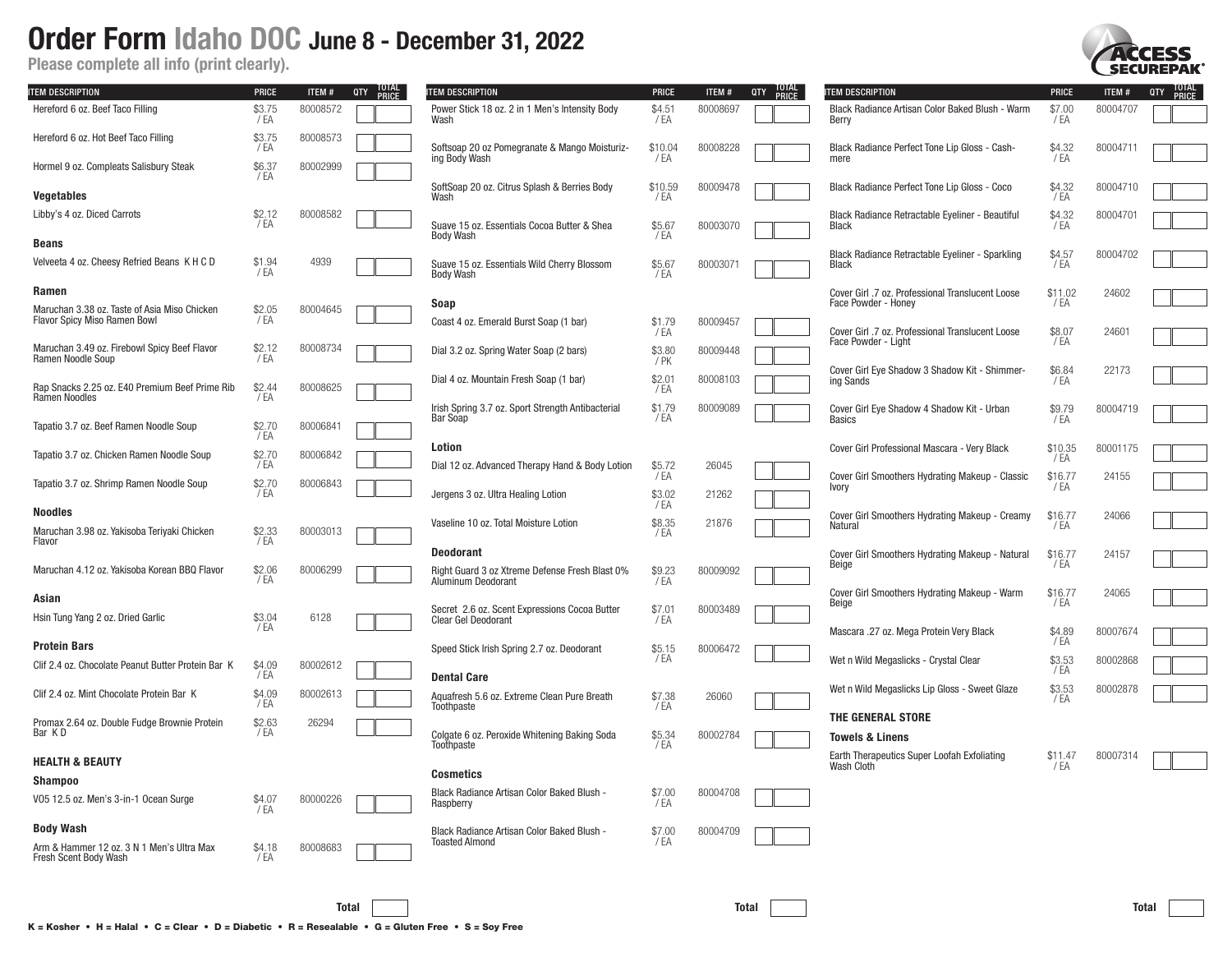Please complete all info (print clearly).

| <b>ITEM DESCRIPTION</b>                                                      | <b>PRICE</b>    | ITEM#    | TOTAL<br>PRICE<br>QTY | <b>ITEM DESCRIPTION</b>                                              | <b>PRICE</b>              | ITEM#    | TOTAL<br>PRICE<br>QTY | <b>ITEM DESCRIPTION</b>                                                 | <b>PRICE</b>    | ITEM#    | TOTAL<br>PRICE<br>QTY |
|------------------------------------------------------------------------------|-----------------|----------|-----------------------|----------------------------------------------------------------------|---------------------------|----------|-----------------------|-------------------------------------------------------------------------|-----------------|----------|-----------------------|
| Hereford 6 oz. Beef Taco Filling                                             | \$3.75<br>/ EA  | 80008572 |                       | Power Stick 18 oz. 2 in 1 Men's Intensity Body<br>Wash               | \$4.51<br>/ EA            | 80008697 |                       | Black Radiance Artisan Color Baked Blush - Warm<br>Berry                | \$7.00<br>/ EA  | 80004707 |                       |
| Hereford 6 oz. Hot Beef Taco Filling                                         | \$3.75<br>/ EA  | 80008573 |                       | Softsoap 20 oz Pomegranate & Mango Moisturiz-<br>ing Body Wash       | \$10.04<br>/ EA           | 80008228 |                       | Black Radiance Perfect Tone Lip Gloss - Cash-<br>mere                   | \$4.32<br>/ EA  | 8000471  |                       |
| Hormel 9 oz. Compleats Salisbury Steak                                       | \$6.37<br>/ EA  | 80002999 |                       | SoftSoap 20 oz. Citrus Splash & Berries Body                         | \$10.59                   | 80009478 |                       | Black Radiance Perfect Tone Lip Gloss - Coco                            | \$4.32          | 80004710 |                       |
| <b>Vegetables</b>                                                            |                 |          |                       | Wash                                                                 | /EA                       |          |                       |                                                                         | / EA            |          |                       |
| Libby's 4 oz. Diced Carrots                                                  | \$2.12<br>/ EA  | 80008582 |                       | Suave 15 oz. Essentials Cocoa Butter & Shea<br><b>Body Wash</b>      | \$5.67<br>/ EA            | 80003070 |                       | Black Radiance Retractable Eyeliner - Beautiful<br><b>Black</b>         | \$4.32<br>/ EA  | 80004701 |                       |
| <b>Beans</b>                                                                 |                 |          |                       |                                                                      |                           |          |                       | Black Radiance Retractable Eyeliner - Sparkling                         | \$4.57          | 80004702 |                       |
| Velveeta 4 oz. Cheesy Refried Beans K H C D                                  | \$1.94<br>/EA   | 4939     |                       | Suave 15 oz. Essentials Wild Cherry Blossom<br><b>Body Wash</b>      | \$5.67<br>/EA             | 80003071 |                       | Black                                                                   | / EA            |          |                       |
| Ramen                                                                        |                 |          |                       |                                                                      |                           |          |                       | Cover Girl .7 oz. Professional Translucent Loose                        | \$11.02         | 24602    |                       |
| Maruchan 3.38 oz. Taste of Asia Miso Chicken<br>Flavor Spicy Miso Ramen Bowl | \$2.05<br>/EA   | 80004645 |                       | Soap                                                                 |                           |          |                       | Face Powder - Honey                                                     | / EA            |          |                       |
| Maruchan 3.49 oz. Firebowl Spicy Beef Flavor                                 | \$2.12          | 80008734 |                       | Coast 4 oz. Emerald Burst Soap (1 bar)                               | \$1.79<br>/ EA            | 80009457 |                       | Cover Girl .7 oz. Professional Translucent Loose<br>Face Powder - Light | \$8.07<br>/ EA  | 2460     |                       |
| Ramen Noodle Soup                                                            | / EA            |          |                       | Dial 3.2 oz. Spring Water Soap (2 bars)                              | \$3.80<br>7P <sub>K</sub> | 80009448 |                       |                                                                         |                 |          |                       |
| Rap Snacks 2.25 oz. E40 Premium Beef Prime Rib<br>Ramen Noodles              | \$2.44<br>/ EA  | 80008625 |                       | Dial 4 oz. Mountain Fresh Soap (1 bar)                               | \$2.01<br>/ EA            | 80008103 |                       | Cover Girl Eye Shadow 3 Shadow Kit - Shimmer-<br>ing Sands              | \$6.84<br>/ EA  | 22173    |                       |
|                                                                              |                 |          |                       | Irish Spring 3.7 oz. Sport Strength Antibacterial                    | \$1.79                    | 80009089 |                       | Cover Girl Eye Shadow 4 Shadow Kit - Urban                              | \$9.79          | 80004719 |                       |
| Tapatio 3.7 oz. Beef Ramen Noodle Soup                                       | \$2.70<br>'/ EA | 80006841 |                       | Bar Soap                                                             | / EA                      |          |                       | Basics                                                                  | / EA            |          |                       |
| Tapatio 3.7 oz. Chicken Ramen Noodle Soup                                    | \$2.70          | 80006842 |                       | Lotion                                                               |                           |          |                       | Cover Girl Professional Mascara - Very Black                            | \$10.35<br>/ EA | 80001175 |                       |
|                                                                              | / EA            |          |                       | Dial 12 oz. Advanced Therapy Hand & Body Lotion                      | \$5.72<br>/ EA            | 26045    |                       | Cover Girl Smoothers Hydrating Makeup - Classic                         | \$16.77         | 24155    |                       |
| Tapatio 3.7 oz. Shrimp Ramen Noodle Soup                                     | \$2.70<br>/ EA  | 80006843 |                       | Jergens 3 oz. Ultra Healing Lotion                                   | \$3.02<br>/ EA            | 21262    |                       | Ivory                                                                   | / EA            |          |                       |
| <b>Noodles</b>                                                               |                 |          |                       | Vaseline 10 oz. Total Moisture Lotion                                | \$8.35                    | 21876    |                       | Cover Girl Smoothers Hydrating Makeup - Creamy<br>Natural               | \$16.77<br>/EA  | 24066    |                       |
| Maruchan 3.98 oz. Yakisoba Teriyaki Chicken<br>Flavor                        | \$2.33<br>7 EA  | 80003013 |                       |                                                                      | /EA                       |          |                       |                                                                         |                 |          |                       |
|                                                                              |                 |          |                       | <b>Deodorant</b>                                                     |                           |          |                       | Cover Girl Smoothers Hydrating Makeup - Natural                         | \$16.77         | 24157    |                       |
| Maruchan 4.12 oz. Yakisoba Korean BBQ Flavor                                 | \$2.06<br>/EA   | 80006299 |                       | Right Guard 3 oz Xtreme Defense Fresh Blast 0%<br>Aluminum Deodorant | \$9.23<br>/ EA            | 80009092 |                       | Beige                                                                   | / EA            |          |                       |
| Asian                                                                        |                 |          |                       | Secret 2.6 oz. Scent Expressions Cocoa Butter                        |                           | 80003489 |                       | Cover Girl Smoothers Hydrating Makeup - Warm<br>Beige                   | \$16.77<br>/ EA | 24065    |                       |
| Hsin Tung Yang 2 oz. Dried Garlic                                            | \$3.04<br>/ FA  | 6128     |                       | <b>Clear Gel Deodorant</b>                                           | \$7.01<br>/EA             |          |                       |                                                                         |                 |          |                       |
|                                                                              |                 |          |                       |                                                                      |                           |          |                       | Mascara .27 oz. Mega Protein Very Black                                 | \$4.89<br>/ EA  | 80007674 |                       |
| <b>Protein Bars</b>                                                          |                 |          |                       | Speed Stick Irish Spring 2.7 oz. Deodorant                           | \$5.15<br>/ EA            | 80006472 |                       | Wet n Wild Megaslicks - Crystal Clear                                   | \$3.53          | 80002868 |                       |
| Clif 2.4 oz. Chocolate Peanut Butter Protein Bar K                           | \$4.09<br>/ EA  | 80002612 |                       | <b>Dental Care</b>                                                   |                           |          |                       |                                                                         | /EA             |          |                       |
| Clif 2.4 oz. Mint Chocolate Protein Bar K                                    | \$4.09<br>/ EA  | 80002613 |                       | Aquafresh 5.6 oz. Extreme Clean Pure Breath<br>Toothpaste            | \$7.38<br>/ EA            | 26060    |                       | Wet n Wild Megaslicks Lip Gloss - Sweet Glaze                           | \$3.53<br>/EA   | 80002878 |                       |
| Promax 2.64 oz. Double Fudge Brownie Protein                                 | \$2.63          | 26294    |                       |                                                                      |                           |          |                       | THE GENERAL STORE                                                       |                 |          |                       |
| Bar KD                                                                       | /EA             |          |                       | Colgate 6 oz. Peroxide Whitening Baking Soda<br>Toothpaste           | \$5.34<br>$7E$ A          | 80002784 |                       | Towels & Linens                                                         |                 |          |                       |
| <b>HEALTH &amp; BEAUTY</b>                                                   |                 |          |                       |                                                                      |                           |          |                       | Earth Therapeutics Super Loofah Exfoliating<br>Wash Cloth               | \$11.47<br>/ EA | 80007314 |                       |
| <b>Shampoo</b>                                                               |                 |          |                       | <b>Cosmetics</b>                                                     |                           |          |                       |                                                                         |                 |          |                       |
| V05 12.5 oz. Men's 3-in-1 Ocean Surge                                        | \$4.07<br>/EA   | 80000226 |                       | Black Radiance Artisan Color Baked Blush -<br>Raspberry              | \$7.00<br>/ EA            | 80004708 |                       |                                                                         |                 |          |                       |
| <b>Body Wash</b>                                                             |                 |          |                       | Black Radiance Artisan Color Baked Blush -                           | \$7.00                    | 80004709 |                       |                                                                         |                 |          |                       |
| Arm & Hammer 12 oz. 3 N 1 Men's Ultra Max                                    | \$4.18          | 80008683 |                       | <b>Toasted Almond</b>                                                | / FA                      |          |                       |                                                                         |                 |          |                       |
| Fresh Scent Body Wash                                                        | / EA            |          |                       |                                                                      |                           |          |                       |                                                                         |                 |          |                       |